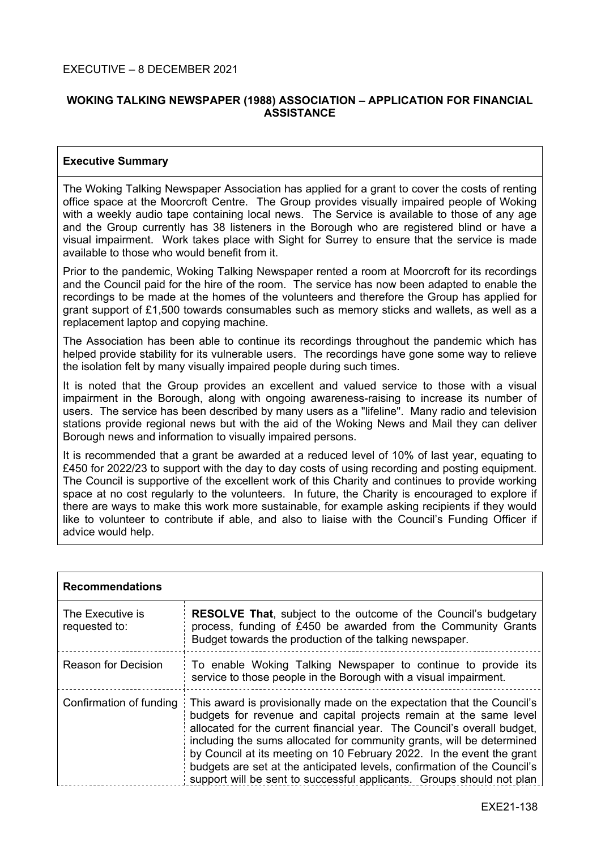## **WOKING TALKING NEWSPAPER (1988) ASSOCIATION – APPLICATION FOR FINANCIAL ASSISTANCE**

## **Executive Summary**

The Woking Talking Newspaper Association has applied for a grant to cover the costs of renting office space at the Moorcroft Centre. The Group provides visually impaired people of Woking with a weekly audio tape containing local news. The Service is available to those of any age and the Group currently has 38 listeners in the Borough who are registered blind or have a visual impairment. Work takes place with Sight for Surrey to ensure that the service is made available to those who would benefit from it.

Prior to the pandemic, Woking Talking Newspaper rented a room at Moorcroft for its recordings and the Council paid for the hire of the room. The service has now been adapted to enable the recordings to be made at the homes of the volunteers and therefore the Group has applied for grant support of £1,500 towards consumables such as memory sticks and wallets, as well as a replacement laptop and copying machine.

The Association has been able to continue its recordings throughout the pandemic which has helped provide stability for its vulnerable users. The recordings have gone some way to relieve the isolation felt by many visually impaired people during such times.

It is noted that the Group provides an excellent and valued service to those with a visual impairment in the Borough, along with ongoing awareness-raising to increase its number of users. The service has been described by many users as a "lifeline". Many radio and television stations provide regional news but with the aid of the Woking News and Mail they can deliver Borough news and information to visually impaired persons.

It is recommended that a grant be awarded at a reduced level of 10% of last year, equating to £450 for 2022/23 to support with the day to day costs of using recording and posting equipment. The Council is supportive of the excellent work of this Charity and continues to provide working space at no cost regularly to the volunteers. In future, the Charity is encouraged to explore if there are ways to make this work more sustainable, for example asking recipients if they would like to volunteer to contribute if able, and also to liaise with the Council's Funding Officer if advice would help.

| <b>Recommendations</b>            |                                                                                                                                                                                                                                                                                                                                                                                                                                                                                                                               |  |
|-----------------------------------|-------------------------------------------------------------------------------------------------------------------------------------------------------------------------------------------------------------------------------------------------------------------------------------------------------------------------------------------------------------------------------------------------------------------------------------------------------------------------------------------------------------------------------|--|
| The Executive is<br>requested to: | <b>RESOLVE That, subject to the outcome of the Council's budgetary</b><br>process, funding of £450 be awarded from the Community Grants<br>Budget towards the production of the talking newspaper.                                                                                                                                                                                                                                                                                                                            |  |
| Reason for Decision               | To enable Woking Talking Newspaper to continue to provide its<br>service to those people in the Borough with a visual impairment.                                                                                                                                                                                                                                                                                                                                                                                             |  |
| Confirmation of funding           | This award is provisionally made on the expectation that the Council's<br>budgets for revenue and capital projects remain at the same level<br>allocated for the current financial year. The Council's overall budget,<br>including the sums allocated for community grants, will be determined<br>by Council at its meeting on 10 February 2022. In the event the grant<br>budgets are set at the anticipated levels, confirmation of the Council's<br>support will be sent to successful applicants. Groups should not plan |  |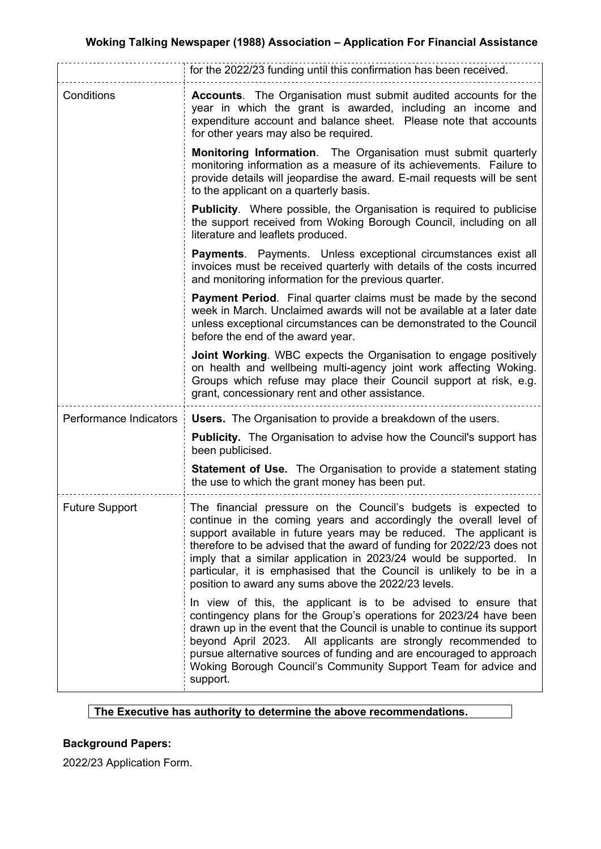|                        | for the 2022/23 funding until this confirmation has been received.                                                                                                                                                                                                                                                                                                                                                                                                                        |
|------------------------|-------------------------------------------------------------------------------------------------------------------------------------------------------------------------------------------------------------------------------------------------------------------------------------------------------------------------------------------------------------------------------------------------------------------------------------------------------------------------------------------|
| Conditions             | Accounts. The Organisation must submit audited accounts for the<br>year in which the grant is awarded, including an income and<br>expenditure account and balance sheet. Please note that accounts<br>for other years may also be required.                                                                                                                                                                                                                                               |
|                        | Monitoring Information. The Organisation must submit quarterly<br>monitoring information as a measure of its achievements. Failure to<br>provide details will jeopardise the award. E-mail requests will be sent<br>to the applicant on a quarterly basis.                                                                                                                                                                                                                                |
|                        | Publicity. Where possible, the Organisation is required to publicise<br>the support received from Woking Borough Council, including on all<br>literature and leaflets produced.                                                                                                                                                                                                                                                                                                           |
|                        | <b>Payments.</b> Payments. Unless exceptional circumstances exist all<br>invoices must be received quarterly with details of the costs incurred<br>and monitoring information for the previous quarter.                                                                                                                                                                                                                                                                                   |
|                        | <b>Payment Period.</b> Final quarter claims must be made by the second<br>week in March. Unclaimed awards will not be available at a later date<br>unless exceptional circumstances can be demonstrated to the Council<br>before the end of the award year.                                                                                                                                                                                                                               |
|                        | Joint Working. WBC expects the Organisation to engage positively<br>on health and wellbeing multi-agency joint work affecting Woking.<br>Groups which refuse may place their Council support at risk, e.g.<br>grant, concessionary rent and other assistance.                                                                                                                                                                                                                             |
| Performance Indicators | <b>Users.</b> The Organisation to provide a breakdown of the users.                                                                                                                                                                                                                                                                                                                                                                                                                       |
|                        | <b>Publicity.</b> The Organisation to advise how the Council's support has<br>been publicised.                                                                                                                                                                                                                                                                                                                                                                                            |
|                        | <b>Statement of Use.</b> The Organisation to provide a statement stating<br>the use to which the grant money has been put.                                                                                                                                                                                                                                                                                                                                                                |
| <b>Future Support</b>  | The financial pressure on the Council's budgets is expected to<br>continue in the coming years and accordingly the overall level of<br>support available in future years may be reduced. The applicant is<br>therefore to be advised that the award of funding for 2022/23 does not<br>imply that a similar application in 2023/24 would be supported. In<br>particular, it is emphasised that the Council is unlikely to be in a<br>position to award any sums above the 2022/23 levels. |
|                        | In view of this, the applicant is to be advised to ensure that<br>contingency plans for the Group's operations for 2023/24 have been<br>drawn up in the event that the Council is unable to continue its support<br>beyond April 2023. All applicants are strongly recommended to<br>pursue alternative sources of funding and are encouraged to approach<br>Woking Borough Council's Community Support Team for advice and<br>support.                                                   |

## **The Executive has authority to determine the above recommendations.**

# **Background Papers:**

2022/23 Application Form.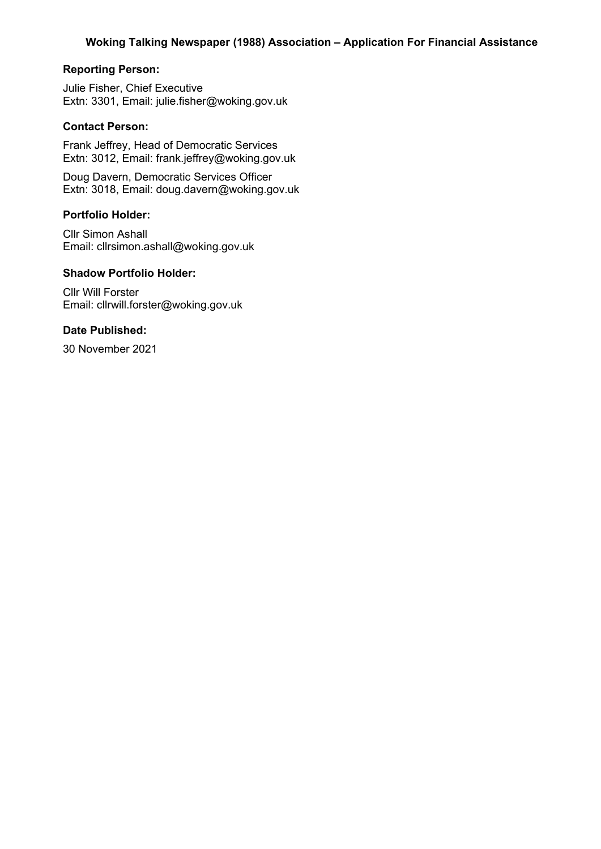## **Reporting Person:**

Julie Fisher, Chief Executive Extn: 3301, Email: julie.fisher@woking.gov.uk

## **Contact Person:**

Frank Jeffrey, Head of Democratic Services Extn: 3012, Email: frank.jeffrey@woking.gov.uk

Doug Davern, Democratic Services Officer Extn: 3018, Email: doug.davern@woking.gov.uk

#### **Portfolio Holder:**

Cllr Simon Ashall Email: cllrsimon.ashall@woking.gov.uk

## **Shadow Portfolio Holder:**

Cllr Will Forster Email: cllrwill.forster@woking.gov.uk

#### **Date Published:**

30 November 2021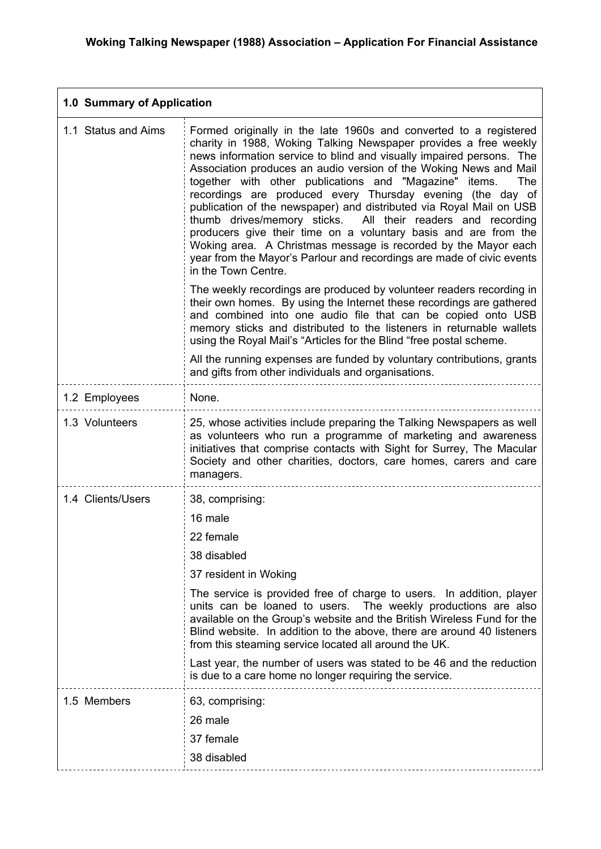| 1.0 Summary of Application |                                                                                                                                                                                                                                                                                                                                                                                                                                                                                                                                                                                                                                                                                                                                                                                              |  |
|----------------------------|----------------------------------------------------------------------------------------------------------------------------------------------------------------------------------------------------------------------------------------------------------------------------------------------------------------------------------------------------------------------------------------------------------------------------------------------------------------------------------------------------------------------------------------------------------------------------------------------------------------------------------------------------------------------------------------------------------------------------------------------------------------------------------------------|--|
| 1.1 Status and Aims        | Formed originally in the late 1960s and converted to a registered<br>charity in 1988, Woking Talking Newspaper provides a free weekly<br>news information service to blind and visually impaired persons. The<br>Association produces an audio version of the Woking News and Mail<br>together with other publications and "Magazine" items.<br>The<br>recordings are produced every Thursday evening (the day of<br>publication of the newspaper) and distributed via Royal Mail on USB<br>thumb drives/memory sticks. All their readers and recording<br>producers give their time on a voluntary basis and are from the<br>Woking area. A Christmas message is recorded by the Mayor each<br>year from the Mayor's Parlour and recordings are made of civic events<br>in the Town Centre. |  |
|                            | The weekly recordings are produced by volunteer readers recording in<br>their own homes. By using the Internet these recordings are gathered<br>and combined into one audio file that can be copied onto USB<br>memory sticks and distributed to the listeners in returnable wallets<br>using the Royal Mail's "Articles for the Blind "free postal scheme.                                                                                                                                                                                                                                                                                                                                                                                                                                  |  |
|                            | All the running expenses are funded by voluntary contributions, grants<br>and gifts from other individuals and organisations.                                                                                                                                                                                                                                                                                                                                                                                                                                                                                                                                                                                                                                                                |  |
| 1.2 Employees              | None.                                                                                                                                                                                                                                                                                                                                                                                                                                                                                                                                                                                                                                                                                                                                                                                        |  |
| 1.3 Volunteers             | 25, whose activities include preparing the Talking Newspapers as well<br>as volunteers who run a programme of marketing and awareness<br>initiatives that comprise contacts with Sight for Surrey, The Macular<br>Society and other charities, doctors, care homes, carers and care<br>managers.                                                                                                                                                                                                                                                                                                                                                                                                                                                                                             |  |
| 1.4 Clients/Users          | 38, comprising:                                                                                                                                                                                                                                                                                                                                                                                                                                                                                                                                                                                                                                                                                                                                                                              |  |
|                            | 16 male                                                                                                                                                                                                                                                                                                                                                                                                                                                                                                                                                                                                                                                                                                                                                                                      |  |
|                            | 22 female                                                                                                                                                                                                                                                                                                                                                                                                                                                                                                                                                                                                                                                                                                                                                                                    |  |
|                            | 38 disabled                                                                                                                                                                                                                                                                                                                                                                                                                                                                                                                                                                                                                                                                                                                                                                                  |  |
|                            | 37 resident in Woking                                                                                                                                                                                                                                                                                                                                                                                                                                                                                                                                                                                                                                                                                                                                                                        |  |
|                            | The service is provided free of charge to users. In addition, player<br>The weekly productions are also<br>units can be loaned to users.<br>available on the Group's website and the British Wireless Fund for the<br>Blind website. In addition to the above, there are around 40 listeners<br>from this steaming service located all around the UK.                                                                                                                                                                                                                                                                                                                                                                                                                                        |  |
|                            | Last year, the number of users was stated to be 46 and the reduction<br>is due to a care home no longer requiring the service.                                                                                                                                                                                                                                                                                                                                                                                                                                                                                                                                                                                                                                                               |  |
| 1.5 Members                | 63, comprising:                                                                                                                                                                                                                                                                                                                                                                                                                                                                                                                                                                                                                                                                                                                                                                              |  |
|                            | 26 male                                                                                                                                                                                                                                                                                                                                                                                                                                                                                                                                                                                                                                                                                                                                                                                      |  |
|                            | 37 female                                                                                                                                                                                                                                                                                                                                                                                                                                                                                                                                                                                                                                                                                                                                                                                    |  |
|                            | 38 disabled                                                                                                                                                                                                                                                                                                                                                                                                                                                                                                                                                                                                                                                                                                                                                                                  |  |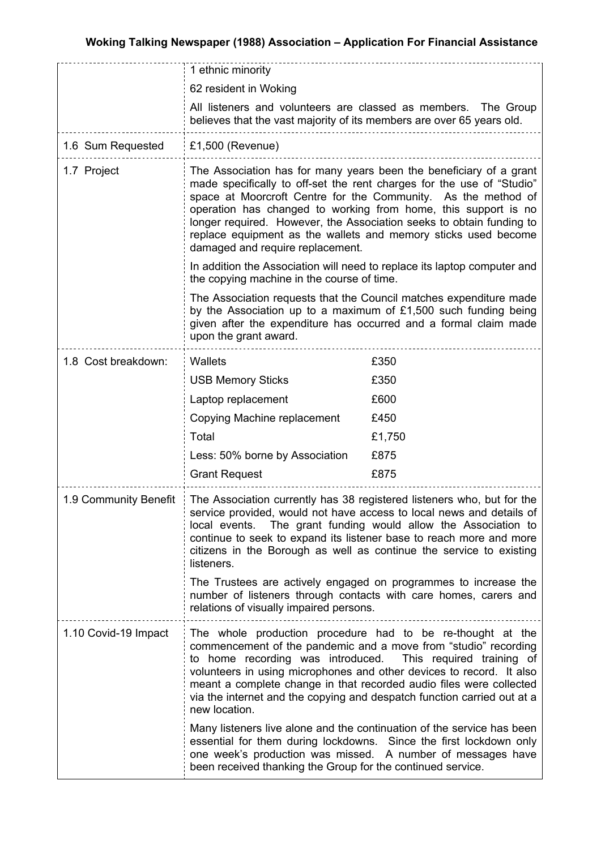|                       | 1 ethnic minority                                                                                                                                                                                                                                                                                                                                                                                                                                                                                                                                                                      |        |  |
|-----------------------|----------------------------------------------------------------------------------------------------------------------------------------------------------------------------------------------------------------------------------------------------------------------------------------------------------------------------------------------------------------------------------------------------------------------------------------------------------------------------------------------------------------------------------------------------------------------------------------|--------|--|
|                       | 62 resident in Woking                                                                                                                                                                                                                                                                                                                                                                                                                                                                                                                                                                  |        |  |
|                       | All listeners and volunteers are classed as members. The Group<br>believes that the vast majority of its members are over 65 years old.                                                                                                                                                                                                                                                                                                                                                                                                                                                |        |  |
| 1.6 Sum Requested     | $£1,500$ (Revenue)                                                                                                                                                                                                                                                                                                                                                                                                                                                                                                                                                                     |        |  |
| 1.7 Project           | The Association has for many years been the beneficiary of a grant<br>made specifically to off-set the rent charges for the use of "Studio"<br>space at Moorcroft Centre for the Community. As the method of<br>operation has changed to working from home, this support is no<br>longer required. However, the Association seeks to obtain funding to<br>replace equipment as the wallets and memory sticks used become<br>damaged and require replacement.<br>In addition the Association will need to replace its laptop computer and<br>the copying machine in the course of time. |        |  |
|                       |                                                                                                                                                                                                                                                                                                                                                                                                                                                                                                                                                                                        |        |  |
|                       | The Association requests that the Council matches expenditure made<br>by the Association up to a maximum of £1,500 such funding being<br>given after the expenditure has occurred and a formal claim made<br>upon the grant award.                                                                                                                                                                                                                                                                                                                                                     |        |  |
| 1.8 Cost breakdown:   | Wallets                                                                                                                                                                                                                                                                                                                                                                                                                                                                                                                                                                                | £350   |  |
|                       | <b>USB Memory Sticks</b>                                                                                                                                                                                                                                                                                                                                                                                                                                                                                                                                                               | £350   |  |
|                       | Laptop replacement                                                                                                                                                                                                                                                                                                                                                                                                                                                                                                                                                                     | £600   |  |
|                       | Copying Machine replacement                                                                                                                                                                                                                                                                                                                                                                                                                                                                                                                                                            | £450   |  |
|                       | Total                                                                                                                                                                                                                                                                                                                                                                                                                                                                                                                                                                                  | £1,750 |  |
|                       | Less: 50% borne by Association                                                                                                                                                                                                                                                                                                                                                                                                                                                                                                                                                         | £875   |  |
|                       | <b>Grant Request</b>                                                                                                                                                                                                                                                                                                                                                                                                                                                                                                                                                                   | £875   |  |
| 1.9 Community Benefit | The Association currently has 38 registered listeners who, but for the<br>service provided, would not have access to local news and details of<br>The grant funding would allow the Association to<br>local events.<br>continue to seek to expand its listener base to reach more and more<br>citizens in the Borough as well as continue the service to existing<br>listeners.                                                                                                                                                                                                        |        |  |
|                       | The Trustees are actively engaged on programmes to increase the<br>number of listeners through contacts with care homes, carers and<br>relations of visually impaired persons.                                                                                                                                                                                                                                                                                                                                                                                                         |        |  |
| 1.10 Covid-19 Impact  | The whole production procedure had to be re-thought at the<br>commencement of the pandemic and a move from "studio" recording<br>to home recording was introduced.<br>This required training of<br>volunteers in using microphones and other devices to record. It also<br>meant a complete change in that recorded audio files were collected<br>via the internet and the copying and despatch function carried out at a<br>new location.                                                                                                                                             |        |  |
|                       | Many listeners live alone and the continuation of the service has been<br>essential for them during lockdowns. Since the first lockdown only<br>one week's production was missed. A number of messages have<br>been received thanking the Group for the continued service.                                                                                                                                                                                                                                                                                                             |        |  |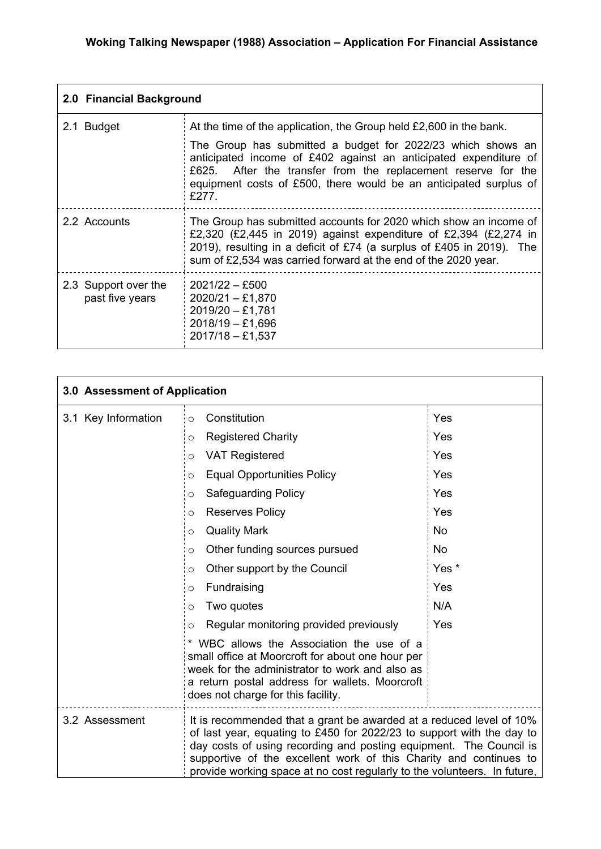| 2.0 Financial Background                |                                                                                                                                                                                                                                                                                  |  |
|-----------------------------------------|----------------------------------------------------------------------------------------------------------------------------------------------------------------------------------------------------------------------------------------------------------------------------------|--|
| 2.1 Budget                              | At the time of the application, the Group held £2,600 in the bank.                                                                                                                                                                                                               |  |
|                                         | The Group has submitted a budget for 2022/23 which shows an<br>anticipated income of £402 against an anticipated expenditure of<br>£625. After the transfer from the replacement reserve for the<br>equipment costs of £500, there would be an anticipated surplus of<br>£277.   |  |
| 2.2 Accounts                            | The Group has submitted accounts for 2020 which show an income of<br>£2,320 (£2,445 in 2019) against expenditure of £2,394 (£2,274 in<br>2019), resulting in a deficit of £74 (a surplus of £405 in 2019). The<br>sum of £2,534 was carried forward at the end of the 2020 year. |  |
| 2.3 Support over the<br>past five years | $2021/22 - £500$<br>$2020/21 - £1,870$<br>$2019/20 - £1,781$<br>$2018/19 - £1,696$<br>$2017/18 - £1,537$                                                                                                                                                                         |  |

| 3.0 Assessment of Application |                                                                                                                                                                                                                                                                                                                                                                     |           |
|-------------------------------|---------------------------------------------------------------------------------------------------------------------------------------------------------------------------------------------------------------------------------------------------------------------------------------------------------------------------------------------------------------------|-----------|
| 3.1 Key Information           | Constitution<br>$\circ$                                                                                                                                                                                                                                                                                                                                             | Yes       |
|                               | <b>Registered Charity</b><br>$\circ$                                                                                                                                                                                                                                                                                                                                | Yes       |
|                               | <b>VAT Registered</b><br>$\circ$                                                                                                                                                                                                                                                                                                                                    | Yes       |
|                               | <b>Equal Opportunities Policy</b><br>$\circ$                                                                                                                                                                                                                                                                                                                        | Yes       |
|                               | <b>Safeguarding Policy</b><br>$\circ$                                                                                                                                                                                                                                                                                                                               | Yes       |
|                               | <b>Reserves Policy</b><br>$\circ$                                                                                                                                                                                                                                                                                                                                   | Yes       |
|                               | <b>Quality Mark</b><br>$\circ$                                                                                                                                                                                                                                                                                                                                      | <b>No</b> |
|                               | Other funding sources pursued<br>$\circ$                                                                                                                                                                                                                                                                                                                            | <b>No</b> |
|                               | Other support by the Council<br>$\circ$                                                                                                                                                                                                                                                                                                                             | Yes *     |
|                               | Fundraising<br>$\circ$                                                                                                                                                                                                                                                                                                                                              | Yes       |
|                               | Two quotes<br>$\circ$                                                                                                                                                                                                                                                                                                                                               | N/A       |
|                               | Regular monitoring provided previously<br>O                                                                                                                                                                                                                                                                                                                         | Yes       |
|                               | * WBC allows the Association the use of a<br>small office at Moorcroft for about one hour per<br>week for the administrator to work and also as<br>a return postal address for wallets. Moorcroft<br>does not charge for this facility.                                                                                                                             |           |
| 3.2 Assessment                | It is recommended that a grant be awarded at a reduced level of 10%<br>of last year, equating to £450 for 2022/23 to support with the day to<br>day costs of using recording and posting equipment. The Council is<br>supportive of the excellent work of this Charity and continues to<br>provide working space at no cost regularly to the volunteers. In future, |           |